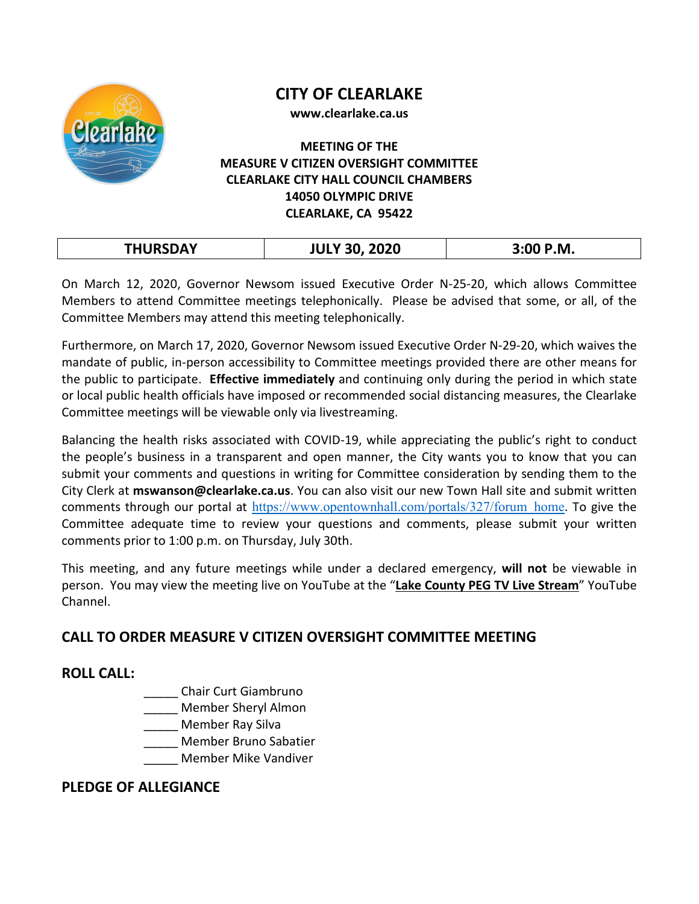

# **CITY OF CLEARLAKE**

**www.clearlake.ca.us**

#### **MEETING OF THE MEASURE V CITIZEN OVERSIGHT COMMITTEE CLEARLAKE CITY HALL COUNCIL CHAMBERS 14050 OLYMPIC DRIVE CLEARLAKE, CA 95422**

| <b>TULIDEDAV</b> | <b>JULY 30, 2020</b> | 3:00 P.M. |
|------------------|----------------------|-----------|
|                  |                      |           |

On March 12, 2020, Governor Newsom issued Executive Order N-25-20, which allows Committee Members to attend Committee meetings telephonically. Please be advised that some, or all, of the Committee Members may attend this meeting telephonically.

Furthermore, on March 17, 2020, Governor Newsom issued Executive Order N-29-20, which waives the mandate of public, in-person accessibility to Committee meetings provided there are other means for the public to participate. **Effective immediately** and continuing only during the period in which state or local public health officials have imposed or recommended social distancing measures, the Clearlake Committee meetings will be viewable only via livestreaming.

Balancing the health risks associated with COVID-19, while appreciating the public's right to conduct the people's business in a transparent and open manner, the City wants you to know that you can submit your comments and questions in writing for Committee consideration by sending them to the City Clerk at **mswanson@clearlake.ca.us**. You can also visit our new Town Hall site and submit written comments through our portal at [https://www.opentownhall.com/portals/327/forum\\_home](https://www.opentownhall.com/portals/327/forum_home). To give the Committee adequate time to review your questions and comments, please submit your written comments prior to 1:00 p.m. on Thursday, July 30th.

This meeting, and any future meetings while under a declared emergency, **will not** be viewable in person. You may view the meeting live on YouTube at the "**Lake County PEG TV Live Stream**" YouTube Channel.

## **CALL TO ORDER MEASURE V CITIZEN OVERSIGHT COMMITTEE MEETING**

## **ROLL CALL:**

- \_\_\_\_\_ Chair Curt Giambruno
- \_\_\_\_\_ Member Sheryl Almon
- \_\_\_\_\_ Member Ray Silva
- \_\_\_\_\_ Member Bruno Sabatier
	- \_\_\_\_\_ Member Mike Vandiver

## **PLEDGE OF ALLEGIANCE**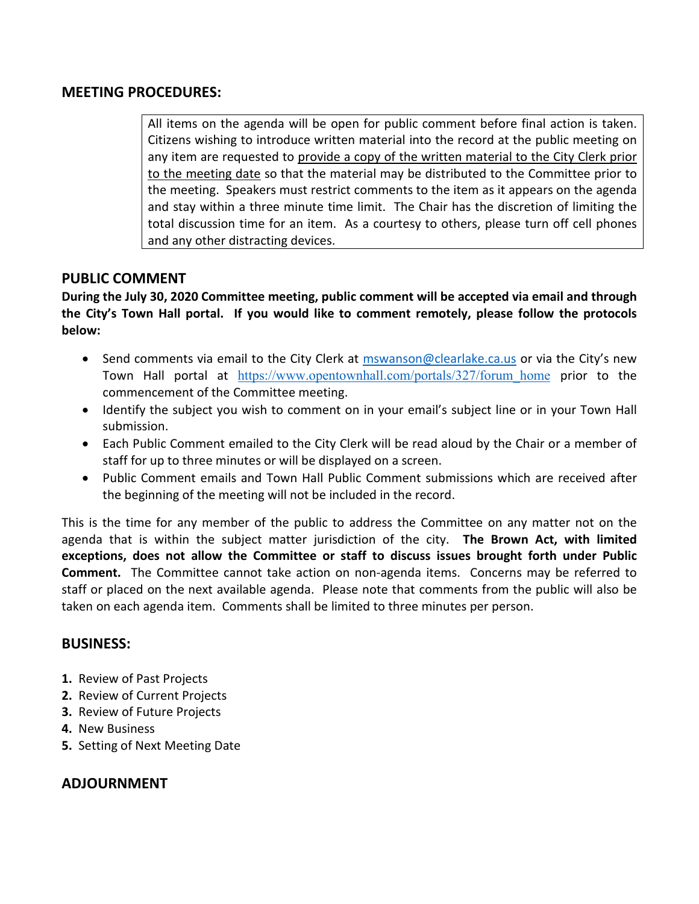#### **MEETING PROCEDURES:**

All items on the agenda will be open for public comment before final action is taken. Citizens wishing to introduce written material into the record at the public meeting on any item are requested to provide a copy of the written material to the City Clerk prior to the meeting date so that the material may be distributed to the Committee prior to the meeting. Speakers must restrict comments to the item as it appears on the agenda and stay within a three minute time limit. The Chair has the discretion of limiting the total discussion time for an item. As a courtesy to others, please turn off cell phones and any other distracting devices.

#### **PUBLIC COMMENT**

**During the July 30, 2020 Committee meeting, public comment will be accepted via email and through the City's Town Hall portal. If you would like to comment remotely, please follow the protocols below:**

- Send comments via email to the City Clerk at [mswanson@clearlake.ca.us](mailto:mswanson@clearlake.ca.us) or via the City's new Town Hall portal at https://www.opentownhall.com/portals/327/forum home prior to the commencement of the Committee meeting.
- Identify the subject you wish to comment on in your email's subject line or in your Town Hall submission.
- Each Public Comment emailed to the City Clerk will be read aloud by the Chair or a member of staff for up to three minutes or will be displayed on a screen.
- Public Comment emails and Town Hall Public Comment submissions which are received after the beginning of the meeting will not be included in the record.

This is the time for any member of the public to address the Committee on any matter not on the agenda that is within the subject matter jurisdiction of the city. **The Brown Act, with limited exceptions, does not allow the Committee or staff to discuss issues brought forth under Public Comment.** The Committee cannot take action on non-agenda items. Concerns may be referred to staff or placed on the next available agenda. Please note that comments from the public will also be taken on each agenda item. Comments shall be limited to three minutes per person.

#### **BUSINESS:**

- **1.** Review of Past Projects
- **2.** Review of Current Projects
- **3.** Review of Future Projects
- **4.** New Business
- **5.** Setting of Next Meeting Date

## **ADJOURNMENT**